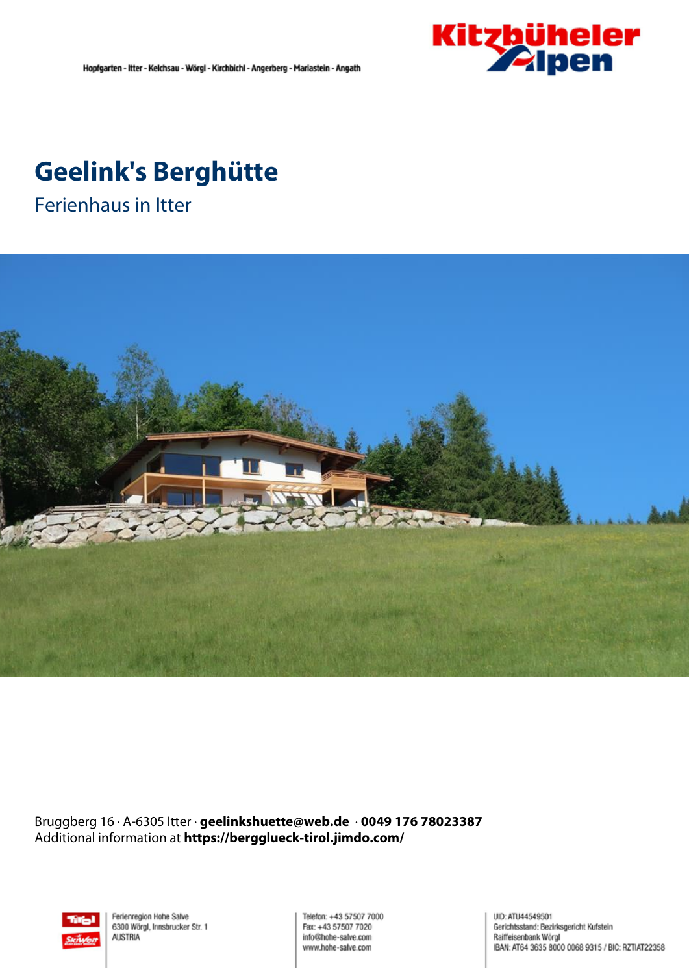

# **Geelink's Berghütte**

Ferienhaus in Itter



Bruggberg 16 · A-6305 Itter · **geelinkshuette@web.de** · **0049 176 78023387** Additional information at **https://bergglueck-tirol.jimdo.com/**



Ferienregion Hohe Salve 6300 Wörgl, Innsbrucker Str. 1 **AUSTRIA** 

Telefon: +43 57507 7000 Fax: +43 57507 7020 info@hohe-salve.com www.hohe-salve.com

UID: ATU44549501 Gerichtsstand: Bezirksgericht Kufstein Raiffeisenbank Wörgl IBAN: AT64 3635 8000 0068 9315 / BIC: RZTIAT22358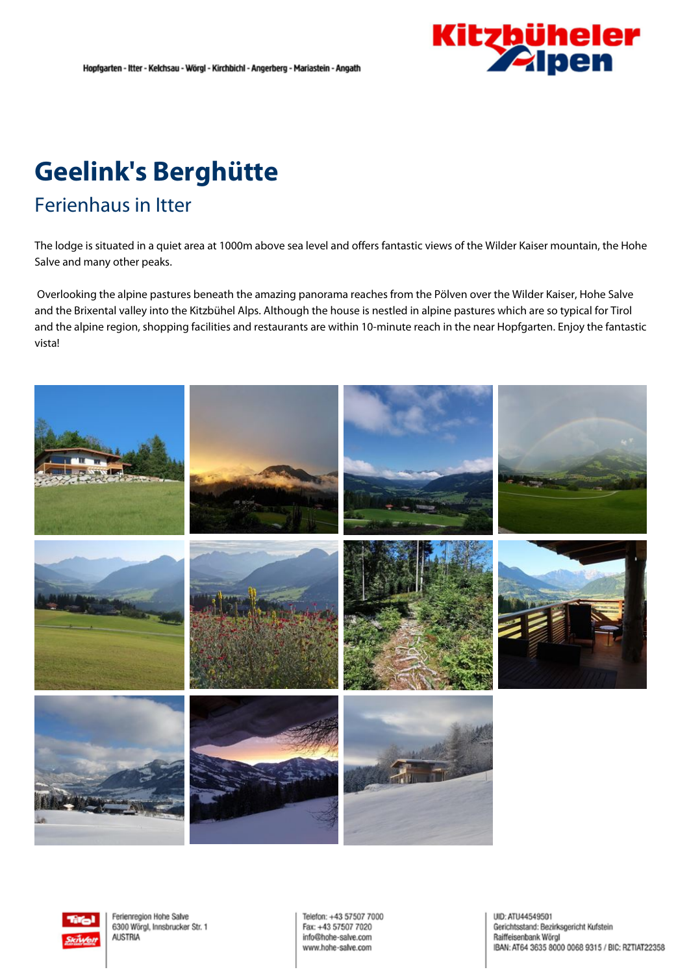

# **Geelink's Berghütte**

### Ferienhaus in Itter

The lodge is situated in <sup>a</sup> quiet area at 1000m above sea level and offers fantastic views of the Wilder Kaiser mountain, the Hohe Salve and many other peaks.

Overlooking the alpine pastures beneath the amazing panorama reaches from the Pölven over the Wilder Kaiser, Hohe Salve and the Brixental valley into the Kitzbühel Alps. Although the house is nestled in alpine pastures which are so typical for Tirol and the alpine region, shopping facilities and restaurants are within 10-minute reach in the near Hopfgarten. Enjoy the fantastic vista!





Ferienregion Hohe Salve 6300 Wörgl, Innsbrucker Str. 1 **ALISTRIA** 

Telefon: +43 57507 7000 Fax: +43 57507 7020 info@hohe-salve.com www.hohe-salve.com

UID: ATU44549501 Gerichtsstand: Bezirksgericht Kufstein Raiffeisenbank Wörgl IBAN: AT64 3635 8000 0068 9315 / BIC: RZTIAT22358